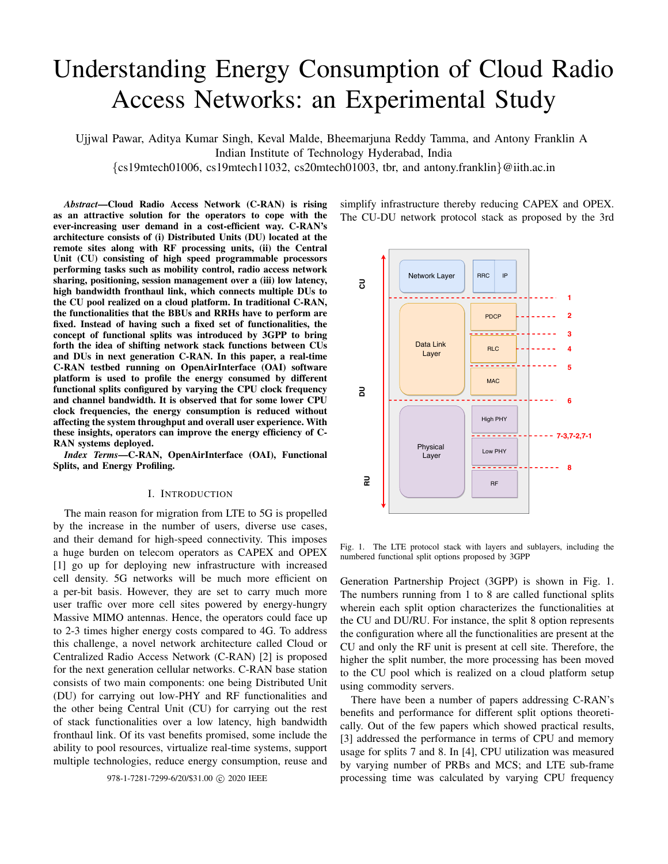# Understanding Energy Consumption of Cloud Radio Access Networks: an Experimental Study

Ujjwal Pawar, Aditya Kumar Singh, Keval Malde, Bheemarjuna Reddy Tamma, and Antony Franklin A Indian Institute of Technology Hyderabad, India {cs19mtech01006, cs19mtech11032, cs20mtech01003, tbr, and antony.franklin}@iith.ac.in

*Abstract*—Cloud Radio Access Network (C-RAN) is rising as an attractive solution for the operators to cope with the ever-increasing user demand in a cost-efficient way. C-RAN's architecture consists of (i) Distributed Units (DU) located at the remote sites along with RF processing units, (ii) the Central Unit (CU) consisting of high speed programmable processors performing tasks such as mobility control, radio access network sharing, positioning, session management over a (iii) low latency, high bandwidth fronthaul link, which connects multiple DUs to the CU pool realized on a cloud platform. In traditional C-RAN, the functionalities that the BBUs and RRHs have to perform are fixed. Instead of having such a fixed set of functionalities, the concept of functional splits was introduced by 3GPP to bring forth the idea of shifting network stack functions between CUs and DUs in next generation C-RAN. In this paper, a real-time C-RAN testbed running on OpenAirInterface (OAI) software platform is used to profile the energy consumed by different functional splits configured by varying the CPU clock frequency and channel bandwidth. It is observed that for some lower CPU clock frequencies, the energy consumption is reduced without affecting the system throughput and overall user experience. With these insights, operators can improve the energy efficiency of C-RAN systems deployed.

*Index Terms*—C-RAN, OpenAirInterface (OAI), Functional Splits, and Energy Profiling.

#### I. INTRODUCTION

The main reason for migration from LTE to 5G is propelled by the increase in the number of users, diverse use cases, and their demand for high-speed connectivity. This imposes a huge burden on telecom operators as CAPEX and OPEX [1] go up for deploying new infrastructure with increased cell density. 5G networks will be much more efficient on a per-bit basis. However, they are set to carry much more user traffic over more cell sites powered by energy-hungry Massive MIMO antennas. Hence, the operators could face up to 2-3 times higher energy costs compared to 4G. To address this challenge, a novel network architecture called Cloud or Centralized Radio Access Network (C-RAN) [2] is proposed for the next generation cellular networks. C-RAN base station consists of two main components: one being Distributed Unit (DU) for carrying out low-PHY and RF functionalities and the other being Central Unit (CU) for carrying out the rest of stack functionalities over a low latency, high bandwidth fronthaul link. Of its vast benefits promised, some include the ability to pool resources, virtualize real-time systems, support multiple technologies, reduce energy consumption, reuse and

simplify infrastructure thereby reducing CAPEX and OPEX. The CU-DU network protocol stack as proposed by the 3rd

Fig. 1. The LTE protocol stack with layers and sublayers, including the numbered functional split options proposed by 3GPP

Generation Partnership Project (3GPP) is shown in Fig. 1. The numbers running from 1 to 8 are called functional splits wherein each split option characterizes the functionalities at the CU and DU/RU. For instance, the split 8 option represents the configuration where all the functionalities are present at the CU and only the RF unit is present at cell site. Therefore, the higher the split number, the more processing has been moved to the CU pool which is realized on a cloud platform setup using commodity servers.

There have been a number of papers addressing C-RAN's benefits and performance for different split options theoretically. Out of the few papers which showed practical results, [3] addressed the performance in terms of CPU and memory usage for splits 7 and 8. In [4], CPU utilization was measured by varying number of PRBs and MCS; and LTE sub-frame 978-1-7281-7299-6/20/\$31.00 c 2020 IEEE processing time was calculated by varying CPU frequency

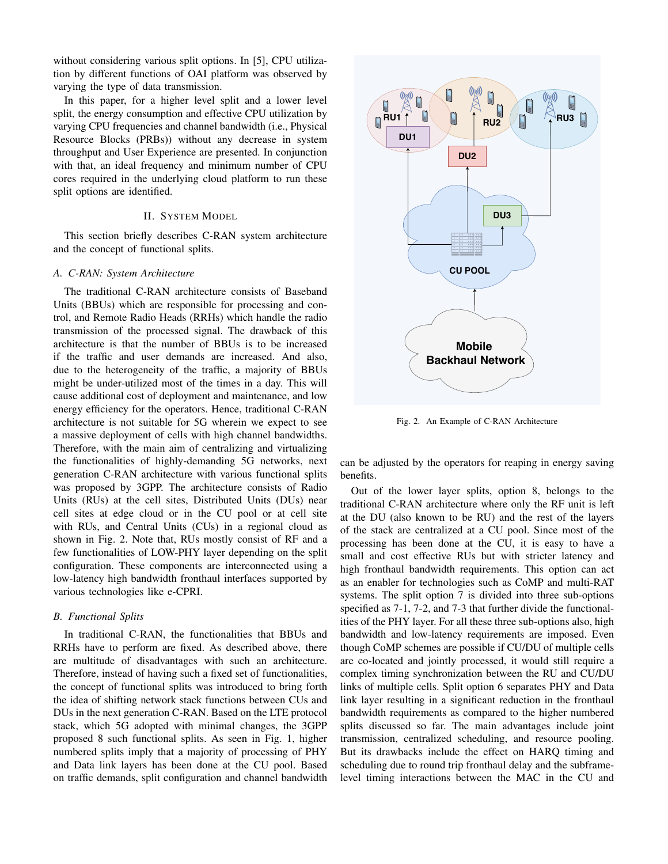without considering various split options. In [5], CPU utilization by different functions of OAI platform was observed by varying the type of data transmission.

In this paper, for a higher level split and a lower level split, the energy consumption and effective CPU utilization by varying CPU frequencies and channel bandwidth (i.e., Physical Resource Blocks (PRBs)) without any decrease in system throughput and User Experience are presented. In conjunction with that, an ideal frequency and minimum number of CPU cores required in the underlying cloud platform to run these split options are identified.

## II. SYSTEM MODEL

This section briefly describes C-RAN system architecture and the concept of functional splits.

### *A. C-RAN: System Architecture*

The traditional C-RAN architecture consists of Baseband Units (BBUs) which are responsible for processing and control, and Remote Radio Heads (RRHs) which handle the radio transmission of the processed signal. The drawback of this architecture is that the number of BBUs is to be increased if the traffic and user demands are increased. And also, due to the heterogeneity of the traffic, a majority of BBUs might be under-utilized most of the times in a day. This will cause additional cost of deployment and maintenance, and low energy efficiency for the operators. Hence, traditional C-RAN architecture is not suitable for 5G wherein we expect to see a massive deployment of cells with high channel bandwidths. Therefore, with the main aim of centralizing and virtualizing the functionalities of highly-demanding 5G networks, next generation C-RAN architecture with various functional splits was proposed by 3GPP. The architecture consists of Radio Units (RUs) at the cell sites, Distributed Units (DUs) near cell sites at edge cloud or in the CU pool or at cell site with RUs, and Central Units (CUs) in a regional cloud as shown in Fig. 2. Note that, RUs mostly consist of RF and a few functionalities of LOW-PHY layer depending on the split configuration. These components are interconnected using a low-latency high bandwidth fronthaul interfaces supported by various technologies like e-CPRI.

## *B. Functional Splits*

In traditional C-RAN, the functionalities that BBUs and RRHs have to perform are fixed. As described above, there are multitude of disadvantages with such an architecture. Therefore, instead of having such a fixed set of functionalities, the concept of functional splits was introduced to bring forth the idea of shifting network stack functions between CUs and DUs in the next generation C-RAN. Based on the LTE protocol stack, which 5G adopted with minimal changes, the 3GPP proposed 8 such functional splits. As seen in Fig. 1, higher numbered splits imply that a majority of processing of PHY and Data link layers has been done at the CU pool. Based on traffic demands, split configuration and channel bandwidth



Fig. 2. An Example of C-RAN Architecture

can be adjusted by the operators for reaping in energy saving benefits.

Out of the lower layer splits, option 8, belongs to the traditional C-RAN architecture where only the RF unit is left at the DU (also known to be RU) and the rest of the layers of the stack are centralized at a CU pool. Since most of the processing has been done at the CU, it is easy to have a small and cost effective RUs but with stricter latency and high fronthaul bandwidth requirements. This option can act as an enabler for technologies such as CoMP and multi-RAT systems. The split option 7 is divided into three sub-options specified as 7-1, 7-2, and 7-3 that further divide the functionalities of the PHY layer. For all these three sub-options also, high bandwidth and low-latency requirements are imposed. Even though CoMP schemes are possible if CU/DU of multiple cells are co-located and jointly processed, it would still require a complex timing synchronization between the RU and CU/DU links of multiple cells. Split option 6 separates PHY and Data link layer resulting in a significant reduction in the fronthaul bandwidth requirements as compared to the higher numbered splits discussed so far. The main advantages include joint transmission, centralized scheduling, and resource pooling. But its drawbacks include the effect on HARQ timing and scheduling due to round trip fronthaul delay and the subframelevel timing interactions between the MAC in the CU and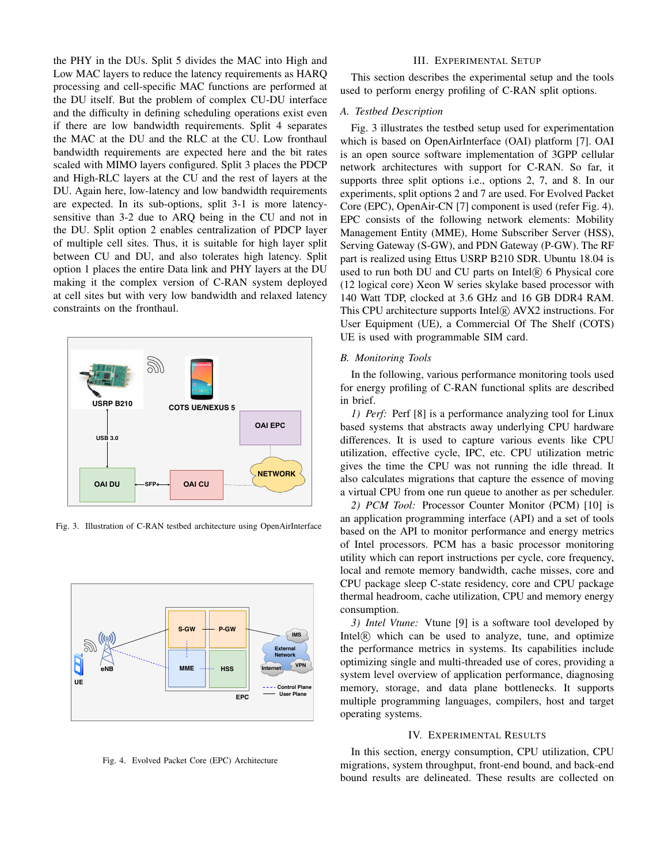the PHY in the DUs. Split 5 divides the MAC into High and Low MAC layers to reduce the latency requirements as HARQ processing and cell-specific MAC functions are performed at the DU itself. But the problem of complex CU-DU interface and the difficulty in defining scheduling operations exist even if there are low bandwidth requirements. Split 4 separates the MAC at the DU and the RLC at the CU. Low fronthaul bandwidth requirements are expected here and the bit rates scaled with MIMO layers configured. Split 3 places the PDCP and High-RLC layers at the CU and the rest of layers at the DU. Again here, low-latency and low bandwidth requirements are expected. In its sub-options, split 3-1 is more latencysensitive than 3-2 due to ARQ being in the CU and not in the DU. Split option 2 enables centralization of PDCP layer of multiple cell sites. Thus, it is suitable for high layer split between CU and DU, and also tolerates high latency. Split option 1 places the entire Data link and PHY layers at the DU making it the complex version of C-RAN system deployed at cell sites but with very low bandwidth and relaxed latency constraints on the fronthaul.



Fig. 3. Illustration of C-RAN testbed architecture using OpenAirInterface



Fig. 4. Evolved Packet Core (EPC) Architecture

### III. EXPERIMENTAL SETUP

This section describes the experimental setup and the tools used to perform energy profiling of C-RAN split options.

#### *A. Testbed Description*

Fig. 3 illustrates the testbed setup used for experimentation which is based on OpenAirInterface (OAI) platform [7]. OAI is an open source software implementation of 3GPP cellular network architectures with support for C-RAN. So far, it supports three split options i.e., options 2, 7, and 8. In our experiments, split options 2 and 7 are used. For Evolved Packet Core (EPC), OpenAir-CN [7] component is used (refer Fig. 4). EPC consists of the following network elements: Mobility Management Entity (MME), Home Subscriber Server (HSS), Serving Gateway (S-GW), and PDN Gateway (P-GW). The RF part is realized using Ettus USRP B210 SDR. Ubuntu 18.04 is used to run both DU and CU parts on Intel $(R)$  6 Physical core (12 logical core) Xeon W series skylake based processor with 140 Watt TDP, clocked at 3.6 GHz and 16 GB DDR4 RAM. This CPU architecture supports Intel® AVX2 instructions. For User Equipment (UE), a Commercial Of The Shelf (COTS) UE is used with programmable SIM card.

#### *B. Monitoring Tools*

In the following, various performance monitoring tools used for energy profiling of C-RAN functional splits are described in brief.

*1) Perf:* Perf [8] is a performance analyzing tool for Linux based systems that abstracts away underlying CPU hardware differences. It is used to capture various events like CPU utilization, effective cycle, IPC, etc. CPU utilization metric gives the time the CPU was not running the idle thread. It also calculates migrations that capture the essence of moving a virtual CPU from one run queue to another as per scheduler.

*2) PCM Tool:* Processor Counter Monitor (PCM) [10] is an application programming interface (API) and a set of tools based on the API to monitor performance and energy metrics of Intel processors. PCM has a basic processor monitoring utility which can report instructions per cycle, core frequency, local and remote memory bandwidth, cache misses, core and CPU package sleep C-state residency, core and CPU package thermal headroom, cache utilization, CPU and memory energy consumption.

*3) Intel Vtune:* Vtune [9] is a software tool developed by Intel $(\widehat{R})$  which can be used to analyze, tune, and optimize the performance metrics in systems. Its capabilities include optimizing single and multi-threaded use of cores, providing a system level overview of application performance, diagnosing memory, storage, and data plane bottlenecks. It supports multiple programming languages, compilers, host and target operating systems.

#### IV. EXPERIMENTAL RESULTS

In this section, energy consumption, CPU utilization, CPU migrations, system throughput, front-end bound, and back-end bound results are delineated. These results are collected on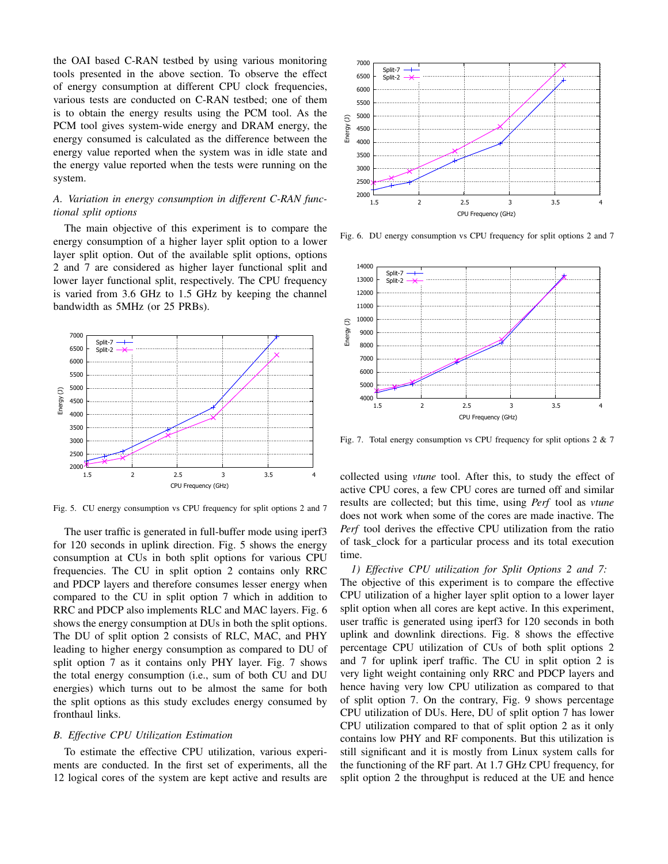the OAI based C-RAN testbed by using various monitoring tools presented in the above section. To observe the effect of energy consumption at different CPU clock frequencies, various tests are conducted on C-RAN testbed; one of them is to obtain the energy results using the PCM tool. As the PCM tool gives system-wide energy and DRAM energy, the energy consumed is calculated as the difference between the energy value reported when the system was in idle state and the energy value reported when the tests were running on the system.

## *A. Variation in energy consumption in different C-RAN functional split options*

The main objective of this experiment is to compare the energy consumption of a higher layer split option to a lower layer split option. Out of the available split options, options 2 and 7 are considered as higher layer functional split and lower layer functional split, respectively. The CPU frequency is varied from 3.6 GHz to 1.5 GHz by keeping the channel bandwidth as 5MHz (or 25 PRBs).



Fig. 5. CU energy consumption vs CPU frequency for split options 2 and 7

The user traffic is generated in full-buffer mode using iperf3 for 120 seconds in uplink direction. Fig. 5 shows the energy consumption at CUs in both split options for various CPU frequencies. The CU in split option 2 contains only RRC and PDCP layers and therefore consumes lesser energy when compared to the CU in split option 7 which in addition to RRC and PDCP also implements RLC and MAC layers. Fig. 6 shows the energy consumption at DUs in both the split options. The DU of split option 2 consists of RLC, MAC, and PHY leading to higher energy consumption as compared to DU of split option 7 as it contains only PHY layer. Fig. 7 shows the total energy consumption (i.e., sum of both CU and DU energies) which turns out to be almost the same for both the split options as this study excludes energy consumed by fronthaul links.

## *B. Effective CPU Utilization Estimation*

To estimate the effective CPU utilization, various experiments are conducted. In the first set of experiments, all the 12 logical cores of the system are kept active and results are



Fig. 6. DU energy consumption vs CPU frequency for split options 2 and 7



Fig. 7. Total energy consumption vs CPU frequency for split options 2 & 7

collected using *vtune* tool. After this, to study the effect of active CPU cores, a few CPU cores are turned off and similar results are collected; but this time, using *Perf* tool as *vtune* does not work when some of the cores are made inactive. The *Perf* tool derives the effective CPU utilization from the ratio of task clock for a particular process and its total execution time.

*1) Effective CPU utilization for Split Options 2 and 7:* The objective of this experiment is to compare the effective CPU utilization of a higher layer split option to a lower layer split option when all cores are kept active. In this experiment, user traffic is generated using iperf3 for 120 seconds in both uplink and downlink directions. Fig. 8 shows the effective percentage CPU utilization of CUs of both split options 2 and 7 for uplink iperf traffic. The CU in split option 2 is very light weight containing only RRC and PDCP layers and hence having very low CPU utilization as compared to that of split option 7. On the contrary, Fig. 9 shows percentage CPU utilization of DUs. Here, DU of split option 7 has lower CPU utilization compared to that of split option 2 as it only contains low PHY and RF components. But this utilization is still significant and it is mostly from Linux system calls for the functioning of the RF part. At 1.7 GHz CPU frequency, for split option 2 the throughput is reduced at the UE and hence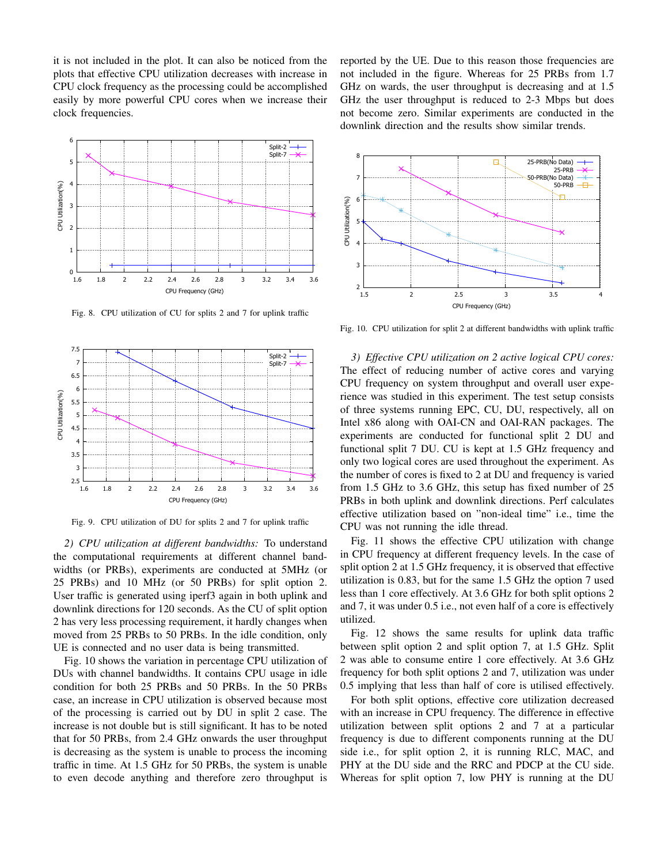it is not included in the plot. It can also be noticed from the plots that effective CPU utilization decreases with increase in CPU clock frequency as the processing could be accomplished easily by more powerful CPU cores when we increase their clock frequencies.



Fig. 8. CPU utilization of CU for splits 2 and 7 for uplink traffic



Fig. 9. CPU utilization of DU for splits 2 and 7 for uplink traffic

*2) CPU utilization at different bandwidths:* To understand the computational requirements at different channel bandwidths (or PRBs), experiments are conducted at 5MHz (or 25 PRBs) and 10 MHz (or 50 PRBs) for split option 2. User traffic is generated using iperf3 again in both uplink and downlink directions for 120 seconds. As the CU of split option 2 has very less processing requirement, it hardly changes when moved from 25 PRBs to 50 PRBs. In the idle condition, only UE is connected and no user data is being transmitted.

Fig. 10 shows the variation in percentage CPU utilization of DUs with channel bandwidths. It contains CPU usage in idle condition for both 25 PRBs and 50 PRBs. In the 50 PRBs case, an increase in CPU utilization is observed because most of the processing is carried out by DU in split 2 case. The increase is not double but is still significant. It has to be noted that for 50 PRBs, from 2.4 GHz onwards the user throughput is decreasing as the system is unable to process the incoming traffic in time. At 1.5 GHz for 50 PRBs, the system is unable to even decode anything and therefore zero throughput is reported by the UE. Due to this reason those frequencies are not included in the figure. Whereas for 25 PRBs from 1.7 GHz on wards, the user throughput is decreasing and at 1.5 GHz the user throughput is reduced to 2-3 Mbps but does not become zero. Similar experiments are conducted in the downlink direction and the results show similar trends.



Fig. 10. CPU utilization for split 2 at different bandwidths with uplink traffic

*3) Effective CPU utilization on 2 active logical CPU cores:* The effect of reducing number of active cores and varying CPU frequency on system throughput and overall user experience was studied in this experiment. The test setup consists of three systems running EPC, CU, DU, respectively, all on Intel x86 along with OAI-CN and OAI-RAN packages. The experiments are conducted for functional split 2 DU and functional split 7 DU. CU is kept at 1.5 GHz frequency and only two logical cores are used throughout the experiment. As the number of cores is fixed to 2 at DU and frequency is varied from 1.5 GHz to 3.6 GHz, this setup has fixed number of 25 PRBs in both uplink and downlink directions. Perf calculates effective utilization based on "non-ideal time" i.e., time the CPU was not running the idle thread.

Fig. 11 shows the effective CPU utilization with change in CPU frequency at different frequency levels. In the case of split option 2 at 1.5 GHz frequency, it is observed that effective utilization is 0.83, but for the same 1.5 GHz the option 7 used less than 1 core effectively. At 3.6 GHz for both split options 2 and 7, it was under 0.5 i.e., not even half of a core is effectively utilized.

Fig. 12 shows the same results for uplink data traffic between split option 2 and split option 7, at 1.5 GHz. Split 2 was able to consume entire 1 core effectively. At 3.6 GHz frequency for both split options 2 and 7, utilization was under 0.5 implying that less than half of core is utilised effectively.

For both split options, effective core utilization decreased with an increase in CPU frequency. The difference in effective utilization between split options 2 and 7 at a particular frequency is due to different components running at the DU side i.e., for split option 2, it is running RLC, MAC, and PHY at the DU side and the RRC and PDCP at the CU side. Whereas for split option 7, low PHY is running at the DU